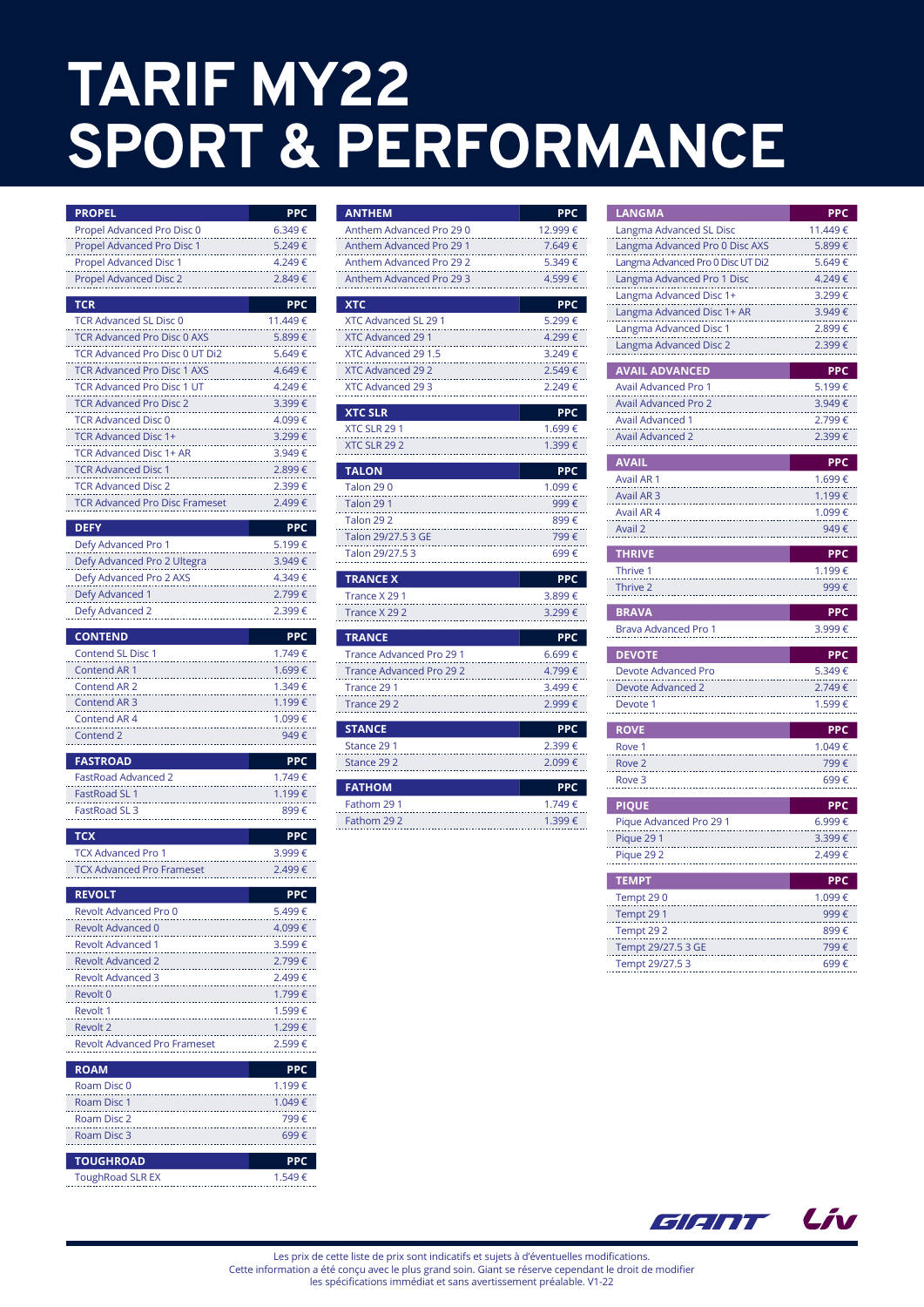## TARIF MY22 SPORT & PERFORMANCE

|                                                              | <b>PPC</b>       |
|--------------------------------------------------------------|------------------|
| <b>PROPEL</b><br>Propel Advanced Pro Disc 0                  | 6.349€           |
| Propel Advanced Pro Disc 1                                   | 5.249€           |
| <b>Propel Advanced Disc 1</b>                                | 4.249€           |
| <b>Propel Advanced Disc 2</b>                                | 2.849€           |
|                                                              |                  |
| <b>TCR</b>                                                   | <b>PPC</b>       |
| <b>TCR Advanced SL Disc 0</b>                                | 11.449€          |
| <b>TCR Advanced Pro Disc 0 AXS</b>                           | 5.899€           |
| TCR Advanced Pro Disc 0 UT Di2                               | 5.649 €          |
| <b>TCR Advanced Pro Disc 1 AXS</b>                           | 4.649€           |
| <b>TCR Advanced Pro Disc 1 UT</b>                            | 4.249€           |
| <b>TCR Advanced Pro Disc 2</b><br><b>TCR Advanced Disc 0</b> | 3.399€           |
| <b>TCR Advanced Disc 1+</b>                                  | 4.099€<br>3.299€ |
| <b>TCR Advanced Disc 1+ AR</b>                               | 3.949€           |
| <b>TCR Advanced Disc 1</b>                                   | 2.899€           |
| <b>TCR Advanced Disc 2</b>                                   | 2.399€           |
| <b>TCR Advanced Pro Disc Frameset</b>                        | 2.499€           |
|                                                              |                  |
| <b>DEFY</b>                                                  | <b>PPC</b>       |
| Defy Advanced Pro 1                                          | 5.199€           |
| Defy Advanced Pro 2 Ultegra                                  | 3.949€           |
| Defy Advanced Pro 2 AXS<br>Defy Advanced 1                   | 4.349€<br>2.799€ |
| Defy Advanced 2                                              | 2.399€           |
|                                                              |                  |
| <b>CONTEND</b>                                               | <b>PPC</b>       |
| <b>Contend SL Disc 1</b>                                     | 1.749€           |
| Contend AR 1                                                 | 1.699€           |
| <b>Contend AR 2</b>                                          | 1.349€           |
| Contend AR 3                                                 | 1.199 €          |
| Contend AR 4                                                 | 1.099€           |
| Contend 2                                                    | 949€             |
| <b>FASTROAD</b>                                              | <b>PPC</b>       |
| <b>FastRoad Advanced 2</b>                                   | 1.749€           |
| <b>FastRoad SL1</b>                                          | 1.199€           |
| FastRoad SL 3                                                | 899 €            |
| <b>TCX</b>                                                   | PPC              |
| <b>TCX Advanced Pro 1</b>                                    | 3.999€           |
| <b>TCX Advanced Pro Frameset</b>                             | 2.499€           |
|                                                              |                  |
| REVOLT<br>Revolt Advanced Pro 0                              | PPC<br>5.499€    |
| <b>Revolt Advanced 0</b>                                     | 4.099€           |
| <b>Revolt Advanced 1</b>                                     | 3.599 €          |
| <b>Revolt Advanced 2</b>                                     | 2.799€           |
| <b>Revolt Advanced 3</b>                                     | 2.499€           |
| Revolt 0                                                     | 1.799 €          |
| Revolt 1                                                     | 1.599€           |
| <b>Revolt 2</b>                                              | 1.299€           |
| Revolt Advanced Pro Frameset                                 | 2.599€           |
| <b>ROAM</b>                                                  | PPC              |
| Roam Disc 0                                                  | 1.199€           |
| Roam Disc 1                                                  | 1.049€           |
| Roam Disc 2                                                  | 799 €            |
| Roam Disc 3                                                  | 699 €            |
|                                                              |                  |
| <b>TOUGHROAD</b>                                             | PPC              |
| <b>ToughRoad SLR EX</b>                                      | 1.549€           |

| <b>ANTHEM</b>                    | <b>PPC</b>           |
|----------------------------------|----------------------|
| Anthem Advanced Pro 290          | 12.999€              |
| Anthem Advanced Pro 29 1         | 7.649€               |
| Anthem Advanced Pro 29 2         | 5.349€               |
| Anthem Advanced Pro 29 3         | 4.599€               |
|                                  |                      |
| <b>XTC</b>                       | <b>PPC</b>           |
| <b>XTC Advanced SL 29 1</b>      | 5.299€               |
| <b>XTC Advanced 29 1</b>         | 4.299€               |
| XTC Advanced 29 1.5              | 3.249€               |
| <b>XTC Advanced 29 2</b>         | 2.549€               |
| XTC Advanced 29 3                | 2.249€               |
| <b>XTC SLR</b>                   | <b>PPC</b>           |
| XTC SLR 291                      | 1.699€               |
| XTC SLR 292                      | 1.399€               |
|                                  |                      |
| <b>TALON</b><br><b>Talon 290</b> | <b>PPC</b><br>1.099€ |
|                                  |                      |
| <b>Talon 291</b>                 | 999€                 |
| <b>Talon 292</b>                 | 899 €                |
| Talon 29/27.5 3 GE               | 799€                 |
| Talon 29/27.53                   | 699€                 |
| <b>TRANCE X</b>                  | <b>PPC</b>           |
| Trance X 29 1                    | 3.899€               |
| Trance X 29 2                    | 3.299€               |
| <b>TRANCE</b>                    | <b>PPC</b>           |
| <b>Trance Advanced Pro 29 1</b>  | 6.699€               |
| <b>Trance Advanced Pro 29 2</b>  | 4.799€               |
| Trance 29 1                      | 3.499€               |
| Trance 29 2                      | 2.999 €              |
|                                  |                      |
| <b>STANCE</b>                    | PPC                  |
| Stance 29 1                      | 2.399€               |
| Stance 292                       | 2.099€               |
| <b>FATHOM</b>                    | <b>PPC</b>           |
| Fathom 29 1                      | 1.749€               |
| Fathom 29 2                      | 1.399€               |

| <b>LANGMA</b>                         | <b>PPC</b>   |
|---------------------------------------|--------------|
| Langma Advanced SL Disc               | 11.449€      |
| Langma Advanced Pro 0 Disc AXS        | 5.899€       |
| Langma Advanced Pro 0 Disc UT Di2     | 5.649€       |
| Langma Advanced Pro 1 Disc            | 4.249€       |
| Langma Advanced Disc 1+               | 3.299€       |
| Langma Advanced Disc 1+ AR            | 3.949€       |
| Langma Advanced Disc 1                | 2.899€       |
| Langma Advanced Disc 2                | 2.399€       |
|                                       |              |
| <b>AVAIL ADVANCED</b>                 | <b>PPC</b>   |
| Avail Advanced Pro 1                  | 5.199€       |
| <b>Avail Advanced Pro 2</b>           | 3.949€       |
| <b>Avail Advanced 1</b>               | 2.799€       |
| <b>Avail Advanced 2</b>               | 2.399€       |
| <b>AVAIL</b>                          | <b>PPC</b>   |
| Avail AR 1                            | 1.699€       |
| Avail AR <sub>3</sub>                 | 1.199€       |
| Avail AR 4                            | 1.099€       |
| Avail 2                               | 949€         |
|                                       |              |
| <b>THRIVE</b>                         | <b>PPC</b>   |
| Thrive 1                              | 1.199€       |
|                                       | 999€         |
| Thrive 2                              |              |
|                                       |              |
| <b>BRAVA</b>                          | <b>PPC</b>   |
| <b>Brava Advanced Pro 1</b>           | 3.999€       |
| <b>DEVOTE</b>                         | <b>PPC</b>   |
| <b>Devote Advanced Pro</b>            | 5.349€       |
| <b>Devote Advanced 2</b>              | 2.749€       |
| Devote 1                              | 1.599€       |
|                                       |              |
| <b>ROVE</b>                           | <b>PPC</b>   |
| Rove 1                                | 1.049€       |
| Rove <sub>2</sub>                     | 799€         |
| Rove <sub>3</sub>                     | 699€         |
| <b>PIQUE</b>                          | <b>PPC</b>   |
| Pique Advanced Pro 29 1               | 6.999€       |
| Pique 291                             | 3.399€       |
| Pique 292                             | 2.499€       |
|                                       |              |
| <b>TEMPT</b>                          | <b>PPC</b>   |
| Tempt 290                             | 1.099€       |
| Tempt 291                             | 999€         |
| Tempt 292                             | 899€         |
| Tempt 29/27.5 3 GE<br>Tempt 29/27.5 3 | 799€<br>699€ |